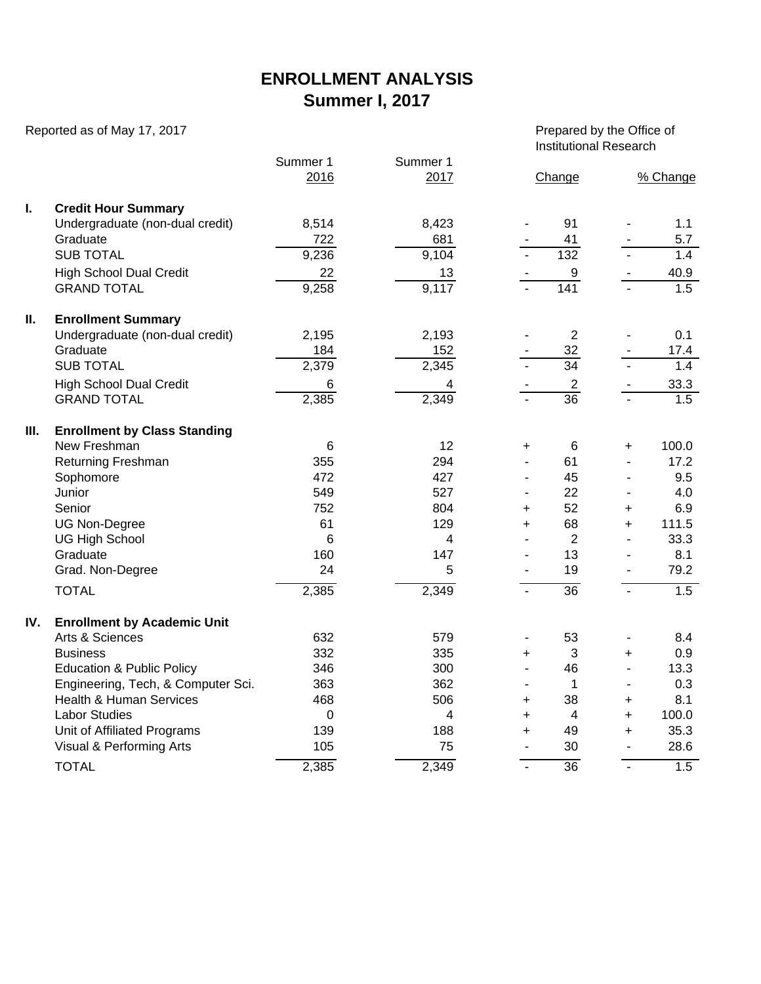## **ENROLLMENT ANALYSIS Summer I, 2017**

Reported as of May 17, 2017 **Prepared by the Office of** Prepared by the Office of

Institutional Research

|      |                                      | Summer 1 | Summer 1       |                          |                 |                |                  |
|------|--------------------------------------|----------|----------------|--------------------------|-----------------|----------------|------------------|
|      |                                      | 2016     | 2017           |                          | Change          |                | % Change         |
| I.   | <b>Credit Hour Summary</b>           |          |                |                          |                 |                |                  |
|      | Undergraduate (non-dual credit)      | 8,514    | 8,423          |                          | 91              |                | 1.1              |
|      | Graduate                             | 722      | 681            |                          | 41              |                | 5.7              |
|      | <b>SUB TOTAL</b>                     | 9,236    | 9,104          |                          | 132             |                | 1.4              |
|      | <b>High School Dual Credit</b>       | 22       | 13             |                          | 9               |                | 40.9             |
|      | <b>GRAND TOTAL</b>                   | 9,258    | 9,117          |                          | 141             |                | 1.5              |
| Ш.   | <b>Enrollment Summary</b>            |          |                |                          |                 |                |                  |
|      | Undergraduate (non-dual credit)      | 2,195    | 2,193          |                          | $\overline{2}$  |                | 0.1              |
|      | Graduate                             | 184      | 152            |                          | 32              |                | 17.4             |
|      | <b>SUB TOTAL</b>                     | 2,379    | 2,345          |                          | $\overline{34}$ |                | 1.4              |
|      | <b>High School Dual Credit</b>       | 6        | 4              |                          | $\overline{2}$  |                | 33.3             |
|      | <b>GRAND TOTAL</b>                   | 2,385    | 2,349          |                          | $\overline{36}$ |                | 1.5              |
| III. | <b>Enrollment by Class Standing</b>  |          |                |                          |                 |                |                  |
|      | New Freshman                         | 6        | 12             | +                        | 6               | +              | 100.0            |
|      | <b>Returning Freshman</b>            | 355      | 294            |                          | 61              |                | 17.2             |
|      | Sophomore                            | 472      | 427            |                          | 45              |                | 9.5              |
|      | Junior                               | 549      | 527            |                          | 22              |                | 4.0              |
|      | Senior                               | 752      | 804            | $\ddot{}$                | 52              | $\ddot{}$      | 6.9              |
|      | <b>UG Non-Degree</b>                 | 61       | 129            | $+$                      | 68              | $+$            | 111.5            |
|      | <b>UG High School</b>                | 6        | 4              |                          | $\overline{2}$  | ä,             | 33.3             |
|      | Graduate                             | 160      | 147            |                          | 13              |                | 8.1              |
|      | Grad. Non-Degree                     | 24       | 5              |                          | 19              |                | 79.2             |
|      | <b>TOTAL</b>                         | 2,385    | 2,349          | L.                       | $\overline{36}$ | $\blacksquare$ | 1.5              |
| IV.  | <b>Enrollment by Academic Unit</b>   |          |                |                          |                 |                |                  |
|      | Arts & Sciences                      | 632      | 579            | $\blacksquare$           | 53              |                | 8.4              |
|      | <b>Business</b>                      | 332      | 335            | +                        | 3               | $\ddot{}$      | 0.9              |
|      | <b>Education &amp; Public Policy</b> | 346      | 300            | $\overline{\phantom{a}}$ | 46              | ä,             | 13.3             |
|      | Engineering, Tech, & Computer Sci.   | 363      | 362            | $\blacksquare$           | $\mathbf{1}$    | $\blacksquare$ | 0.3              |
|      | <b>Health &amp; Human Services</b>   | 468      | 506            | +                        | 38              | $\ddot{}$      | 8.1              |
|      | <b>Labor Studies</b>                 | 0        | $\overline{4}$ | $\ddot{}$                | 4               | $+$            | 100.0            |
|      | Unit of Affiliated Programs          | 139      | 188            | $\ddot{}$                | 49              | $\ddot{}$      | 35.3             |
|      | Visual & Performing Arts             | 105      | 75             | $\blacksquare$           | 30              | $\blacksquare$ | 28.6             |
|      | <b>TOTAL</b>                         | 2,385    | 2,349          | $\blacksquare$           | $\overline{36}$ | $\sim$         | $\overline{1.5}$ |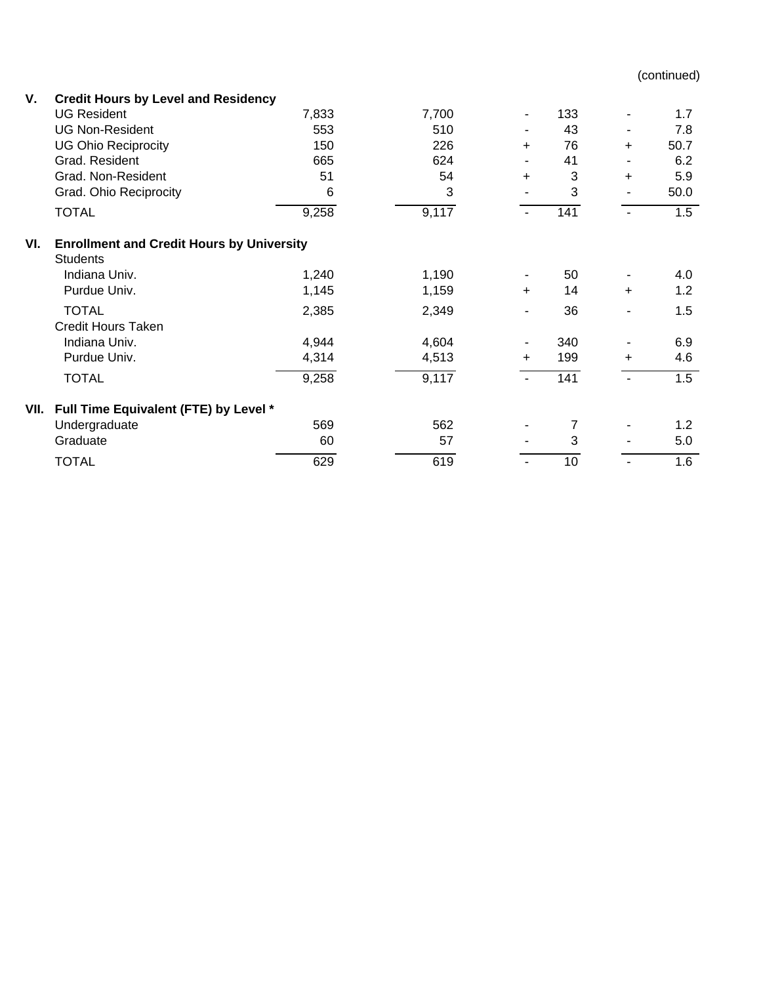(continued)

| V.   | <b>Credit Hours by Level and Residency</b>                          |       |       |                          |     |           |      |  |  |  |  |  |
|------|---------------------------------------------------------------------|-------|-------|--------------------------|-----|-----------|------|--|--|--|--|--|
|      | <b>UG Resident</b>                                                  | 7,833 | 7,700 | $\blacksquare$           | 133 | ٠         | 1.7  |  |  |  |  |  |
|      | <b>UG Non-Resident</b>                                              | 553   | 510   | $\overline{\phantom{a}}$ | 43  | ٠         | 7.8  |  |  |  |  |  |
|      | <b>UG Ohio Reciprocity</b>                                          | 150   | 226   | $\ddot{}$                | 76  | +         | 50.7 |  |  |  |  |  |
|      | Grad. Resident                                                      | 665   | 624   |                          | 41  | ٠         | 6.2  |  |  |  |  |  |
|      | Grad. Non-Resident                                                  | 51    | 54    | $\ddot{}$                | 3   | $\ddot{}$ | 5.9  |  |  |  |  |  |
|      | Grad. Ohio Reciprocity                                              | 6     | 3     |                          | 3   | ٠         | 50.0 |  |  |  |  |  |
|      | <b>TOTAL</b>                                                        | 9,258 | 9,117 | $\blacksquare$           | 141 |           | 1.5  |  |  |  |  |  |
| VI.  | <b>Enrollment and Credit Hours by University</b><br><b>Students</b> |       |       |                          |     |           |      |  |  |  |  |  |
|      | Indiana Univ.                                                       | 1,240 | 1,190 |                          | 50  |           | 4.0  |  |  |  |  |  |
|      | Purdue Univ.                                                        | 1,145 | 1,159 | $\ddot{}$                | 14  | $\ddot{}$ | 1.2  |  |  |  |  |  |
|      | <b>TOTAL</b>                                                        | 2,385 | 2,349 |                          | 36  |           | 1.5  |  |  |  |  |  |
|      | Credit Hours Taken                                                  |       |       |                          |     |           |      |  |  |  |  |  |
|      | Indiana Univ.                                                       | 4,944 | 4,604 |                          | 340 |           | 6.9  |  |  |  |  |  |
|      | Purdue Univ.                                                        | 4,314 | 4,513 | ÷                        | 199 | +         | 4.6  |  |  |  |  |  |
|      | <b>TOTAL</b>                                                        | 9,258 | 9,117 |                          | 141 |           | 1.5  |  |  |  |  |  |
| VII. | Full Time Equivalent (FTE) by Level *                               |       |       |                          |     |           |      |  |  |  |  |  |
|      | Undergraduate                                                       | 569   | 562   |                          | 7   |           | 1.2  |  |  |  |  |  |
|      | Graduate                                                            | 60    | 57    |                          | 3   |           | 5.0  |  |  |  |  |  |
|      | <b>TOTAL</b>                                                        | 629   | 619   |                          | 10  |           | 1.6  |  |  |  |  |  |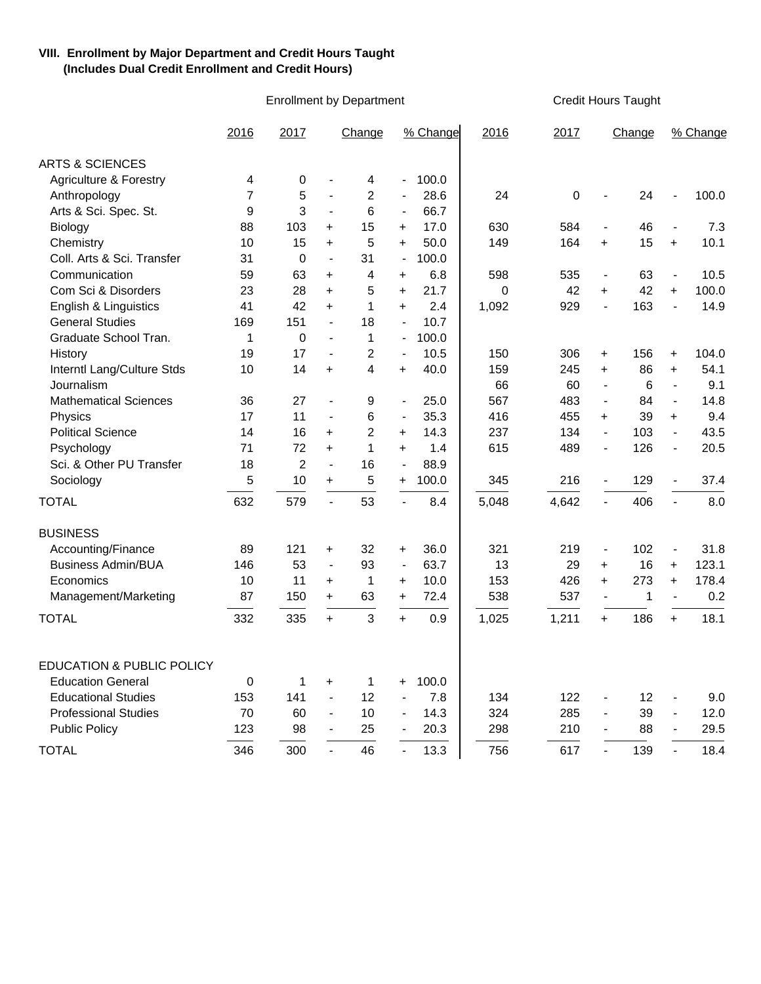## **VIII. Enrollment by Major Department and Credit Hours Taught (Includes Dual Credit Enrollment and Credit Hours)**

Enrollment by Department Credit Hours Taught

|                                      | 2016 | 2017           |                          | Change                  | % Change                 |       | 2016         | 2017  |                          | Change          | % Change                 |       |
|--------------------------------------|------|----------------|--------------------------|-------------------------|--------------------------|-------|--------------|-------|--------------------------|-----------------|--------------------------|-------|
| <b>ARTS &amp; SCIENCES</b>           |      |                |                          |                         |                          |       |              |       |                          |                 |                          |       |
| <b>Agriculture &amp; Forestry</b>    | 4    | 0              | $\overline{\phantom{a}}$ | 4                       |                          | 100.0 |              |       |                          |                 |                          |       |
| Anthropology                         | 7    | 5              | $\overline{\phantom{a}}$ | $\overline{2}$          | $\overline{a}$           | 28.6  | 24           | 0     | $\overline{a}$           | 24              | $\overline{a}$           | 100.0 |
| Arts & Sci. Spec. St.                | 9    | 3              | $\overline{\phantom{a}}$ | 6                       | $\blacksquare$           | 66.7  |              |       |                          |                 |                          |       |
| Biology                              | 88   | 103            | $+$                      | 15                      | $\ddot{}$                | 17.0  | 630          | 584   | $\overline{a}$           | 46              | $\overline{a}$           | 7.3   |
| Chemistry                            | 10   | 15             | $+$                      | 5                       | $+$                      | 50.0  | 149          | 164   | $\ddot{}$                | 15              | $+$                      | 10.1  |
| Coll. Arts & Sci. Transfer           | 31   | 0              | $\blacksquare$           | 31                      | $\frac{1}{2}$            | 100.0 |              |       |                          |                 |                          |       |
| Communication                        | 59   | 63             | $+$                      | 4                       | $\ddot{}$                | 6.8   | 598          | 535   | $\blacksquare$           | 63              | $\overline{\phantom{a}}$ | 10.5  |
| Com Sci & Disorders                  | 23   | 28             | $+$                      | 5                       | $\ddot{}$                | 21.7  | $\mathbf{0}$ | 42    | $+$                      | 42              | $+$                      | 100.0 |
| English & Linguistics                | 41   | 42             | $+$                      | $\mathbf 1$             | $+$                      | 2.4   | 1,092        | 929   | $\overline{a}$           | 163             | $\overline{a}$           | 14.9  |
| <b>General Studies</b>               | 169  | 151            | $\blacksquare$           | 18                      | $\overline{\phantom{a}}$ | 10.7  |              |       |                          |                 |                          |       |
| Graduate School Tran.                | 1    | 0              | $\blacksquare$           | 1                       | $\overline{\phantom{a}}$ | 100.0 |              |       |                          |                 |                          |       |
| History                              | 19   | 17             | $\blacksquare$           | $\overline{2}$          | $\blacksquare$           | 10.5  | 150          | 306   | $\ddot{}$                | 156             | +                        | 104.0 |
| Interntl Lang/Culture Stds           | 10   | 14             | $+$                      | $\overline{\mathbf{4}}$ | $\ddot{}$                | 40.0  | 159          | 245   | $\ddot{}$                | 86              | $\ddot{}$                | 54.1  |
| Journalism                           |      |                |                          |                         |                          |       | 66           | 60    | $\blacksquare$           | $6\phantom{1}6$ | $\blacksquare$           | 9.1   |
| <b>Mathematical Sciences</b>         | 36   | 27             | $\overline{\phantom{a}}$ | 9                       | $\overline{\phantom{a}}$ | 25.0  | 567          | 483   | $\overline{a}$           | 84              | $\mathbf{r}$             | 14.8  |
| Physics                              | 17   | 11             | $\blacksquare$           | 6                       | $\blacksquare$           | 35.3  | 416          | 455   | $\ddot{}$                | 39              | $+$                      | 9.4   |
| <b>Political Science</b>             | 14   | 16             | $+$                      | $\overline{2}$          | $\ddot{}$                | 14.3  | 237          | 134   | $\blacksquare$           | 103             | $\blacksquare$           | 43.5  |
| Psychology                           | 71   | 72             | $\ddot{}$                | 1                       | $\ddot{}$                | 1.4   | 615          | 489   | $\overline{\phantom{a}}$ | 126             | $\overline{\phantom{a}}$ | 20.5  |
| Sci. & Other PU Transfer             | 18   | $\overline{2}$ | $\blacksquare$           | 16                      | $\overline{\phantom{a}}$ | 88.9  |              |       |                          |                 |                          |       |
| Sociology                            | 5    | 10             | $+$                      | 5                       | +                        | 100.0 | 345          | 216   | $\blacksquare$           | 129             | $\overline{\phantom{a}}$ | 37.4  |
| <b>TOTAL</b>                         | 632  | 579            | $\overline{a}$           | 53                      |                          | 8.4   | 5,048        | 4,642 | $\mathbf{r}$             | 406             | $\mathbf{r}$             | 8.0   |
| <b>BUSINESS</b>                      |      |                |                          |                         |                          |       |              |       |                          |                 |                          |       |
| Accounting/Finance                   | 89   | 121            | $\ddot{}$                | 32                      | +                        | 36.0  | 321          | 219   | $\blacksquare$           | 102             | $\blacksquare$           | 31.8  |
| <b>Business Admin/BUA</b>            | 146  | 53             | $\blacksquare$           | 93                      | $\blacksquare$           | 63.7  | 13           | 29    | $\ddot{}$                | 16              | $\ddot{}$                | 123.1 |
| Economics                            | 10   | 11             | $\ddot{}$                | $\mathbf 1$             | +                        | 10.0  | 153          | 426   | $+$                      | 273             | $+$                      | 178.4 |
| Management/Marketing                 | 87   | 150            | $+$                      | 63                      | +                        | 72.4  | 538          | 537   | $\blacksquare$           | $\mathbf 1$     | $\blacksquare$           | 0.2   |
| <b>TOTAL</b>                         | 332  | 335            | $+$                      | 3                       | $+$                      | 0.9   | 1,025        | 1,211 | $+$                      | 186             | $+$                      | 18.1  |
|                                      |      |                |                          |                         |                          |       |              |       |                          |                 |                          |       |
| <b>EDUCATION &amp; PUBLIC POLICY</b> |      |                |                          |                         |                          |       |              |       |                          |                 |                          |       |
| <b>Education General</b>             | 0    | 1              | $\ddot{}$                | 1                       | $\ddot{}$                | 100.0 |              |       |                          |                 |                          |       |
| <b>Educational Studies</b>           | 153  | 141            | $\blacksquare$           | 12                      | $\overline{a}$           | 7.8   | 134          | 122   | $\overline{a}$           | 12              | $\overline{a}$           | 9.0   |
| <b>Professional Studies</b>          | 70   | 60             | $\blacksquare$           | 10                      | $\overline{a}$           | 14.3  | 324          | 285   | $\overline{a}$           | 39              | $\overline{a}$           | 12.0  |
| <b>Public Policy</b>                 | 123  | 98             | $\blacksquare$           | 25                      | $\overline{\phantom{a}}$ | 20.3  | 298          | 210   | $\blacksquare$           | 88              | $\blacksquare$           | 29.5  |
| <b>TOTAL</b>                         | 346  | 300            |                          | 46                      |                          | 13.3  | 756          | 617   |                          | 139             | $\overline{a}$           | 18.4  |